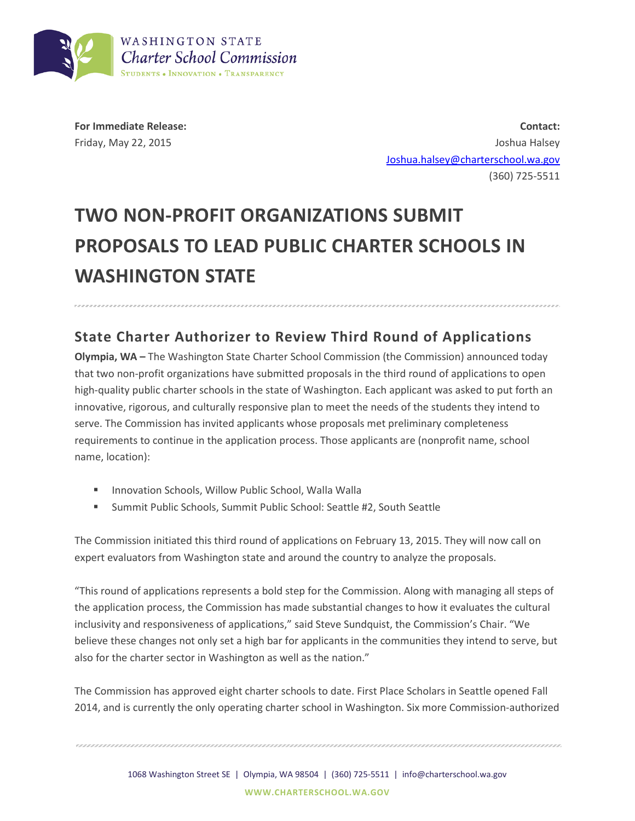

**For Immediate Release:** Friday, May 22, 2015

**Contact:** Joshua Halsey [Joshua.halsey@charterschool.wa.gov](mailto:Joshua.halsey@charterschool.wa.gov) (360) 725-5511

## **TWO NON-PROFIT ORGANIZATIONS SUBMIT PROPOSALS TO LEAD PUBLIC CHARTER SCHOOLS IN WASHINGTON STATE**

## **State Charter Authorizer to Review Third Round of Applications**

**Olympia, WA –** The Washington State Charter School Commission (the Commission) announced today that two non-profit organizations have submitted proposals in the third round of applications to open high-quality public charter schools in the state of Washington. Each applicant was asked to put forth an innovative, rigorous, and culturally responsive plan to meet the needs of the students they intend to serve. The Commission has invited applicants whose proposals met preliminary completeness requirements to continue in the application process. Those applicants are (nonprofit name, school name, location):

- **Innovation Schools, Willow Public School, Walla Walla**
- Summit Public Schools, Summit Public School: Seattle #2, South Seattle

The Commission initiated this third round of applications on February 13, 2015. They will now call on expert evaluators from Washington state and around the country to analyze the proposals.

"This round of applications represents a bold step for the Commission. Along with managing all steps of the application process, the Commission has made substantial changes to how it evaluates the cultural inclusivity and responsiveness of applications," said Steve Sundquist, the Commission's Chair. "We believe these changes not only set a high bar for applicants in the communities they intend to serve, but also for the charter sector in Washington as well as the nation."

The Commission has approved eight charter schools to date. First Place Scholars in Seattle opened Fall 2014, and is currently the only operating charter school in Washington. Six more Commission-authorized